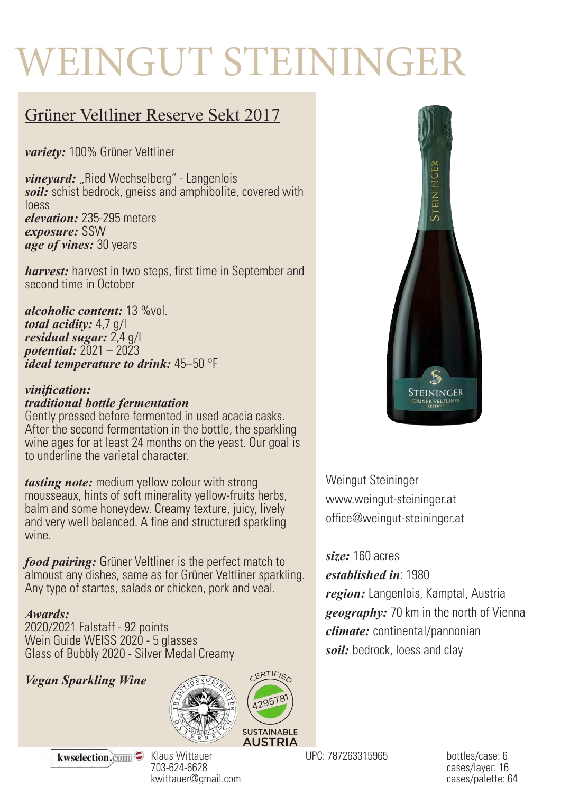# WEINGUT STEININGER

### Grüner Veltliner Reserve Sekt 2017

*variety:* 100% Grüner Veltliner

*vineyard:* "Ried Wechselberg" - Langenlois *soil:* schist bedrock, gneiss and amphibolite, covered with loess *elevation:* 235-295 meters *exposure:* SSW *age of vines:* 30 years

*harvest:* harvest in two steps, first time in September and second time in October

*alcoholic content:* 13 %vol. *total acidity:* 4,7 g/l *residual sugar:* 2,4 g/l *potential:* 2021 – 2023 *ideal temperature to drink:* 45–50 °F

#### *vinification: traditional bottle fermentation*

Gently pressed before fermented in used acacia casks. After the second fermentation in the bottle, the sparkling wine ages for at least 24 months on the yeast. Our goal is to underline the varietal character.

*tasting note:* medium yellow colour with strong mousseaux, hints of soft minerality yellow-fruits herbs, balm and some honeydew. Creamy texture, juicy, lively and very well balanced. A fine and structured sparkling wine.

*food pairing:* Grüner Veltliner is the perfect match to almoust any dishes, same as for Grüner Veltliner sparkling. Any type of startes, salads or chicken, pork and veal.

#### *Awards:*

2020/2021 Falstaff - 92 points Wein Guide WEISS 2020 - 5 glasses Glass of Bubbly 2020 - Silver Medal Creamy

*Vegan Sparkling Wine*







703-624-6628 kwittauer@gmail.com **STEININGER** 

STEININGER

Weingut Steininger www.weingut-steininger.at office@weingut-steininger.at

#### *size:* 160 acres

*established in*: 1980

*region:* Langenlois, Kamptal, Austria *geography:* 70 km in the north of Vienna *climate:* continental/pannonian *soil:* bedrock, loess and clay

UPC: 787263315965 bottles/case: 6

cases/layer: 16 cases/palette: 64